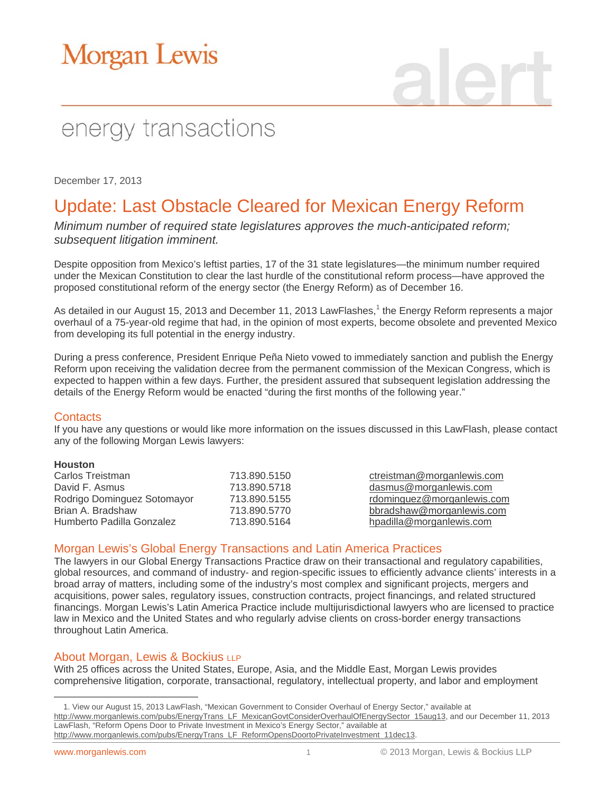# **Morgan Lewis**

## energy transactions

December 17, 2013

### Update: Last Obstacle Cleared for Mexican Energy Reform

*Minimum number of required state legislatures approves the much-anticipated reform; subsequent litigation imminent.*

Despite opposition from Mexico's leftist parties, 17 of the 31 state legislatures—the minimum number required under the Mexican Constitution to clear the last hurdle of the constitutional reform process—have approved the proposed constitutional reform of the energy sector (the Energy Reform) as of December 16.

As detailed in our August 15, 2013 and December 11, 2013 LawFlashes,<sup>1</sup> the Energy Reform represents a major overhaul of a 75-year-old regime that had, in the opinion of most experts, become obsolete and prevented Mexico from developing its full potential in the energy industry.

During a press conference, President Enrique Peña Nieto vowed to immediately sanction and publish the Energy Reform upon receiving the validation decree from the permanent commission of the Mexican Congress, which is expected to happen within a few days. Further, the president assured that subsequent legislation addressing the details of the Energy Reform would be enacted "during the first months of the following year."

#### **Contacts**

If you have any questions or would like more information on the issues discussed in this LawFlash, please contact any of the following Morgan Lewis lawyers:

#### **Houston**

| Carlos Treistman            | 713.890.5150 |
|-----------------------------|--------------|
| David F. Asmus              | 713.890.5718 |
| Rodrigo Dominguez Sotomayor | 713.890.5155 |
| Brian A. Bradshaw           | 713.890.5770 |
| Humberto Padilla Gonzalez   | 713.890.5164 |

ctreistman@morganlewis.com dasmus@morganlewis.com rdominguez@morganlewis.com bbradshaw@morganlewis.com hpadilla@morganlewis.com

#### Morgan Lewis's Global Energy Transactions and Latin America Practices

The lawyers in our Global Energy Transactions Practice draw on their transactional and regulatory capabilities, global resources, and command of industry- and region-specific issues to efficiently advance clients' interests in a broad array of matters, including some of the industry's most complex and significant projects, mergers and acquisitions, power sales, regulatory issues, construction contracts, project financings, and related structured financings. Morgan Lewis's Latin America Practice include multijurisdictional lawyers who are licensed to practice law in Mexico and the United States and who regularly advise clients on cross-border energy transactions throughout Latin America.

#### About Morgan, Lewis & Bockius LLP

With 25 offices across the United States, Europe, Asia, and the Middle East, Morgan Lewis provides comprehensive litigation, corporate, transactional, regulatory, intellectual property, and labor and employment

 $\overline{a}$ 

<sup>1.</sup> View our August 15, 2013 LawFlash, "Mexican Government to Consider Overhaul of Energy Sector," available at [http://www.morganlewis.com/pubs/EnergyTrans\\_LF\\_MexicanGovtConsiderOverhaulOfEnergySector\\_15aug13,](http://www.morganlewis.com/pubs/EnergyTrans_LF_MexicanGovtConsiderOverhaulOfEnergySector_15aug13) and our December 11, 2013 LawFlash, "Reform Opens Door to Private Investment in Mexico's Energy Sector," available at [http://www.morganlewis.com/pubs/EnergyTrans\\_LF\\_ReformOpensDoortoPrivateInvestment\\_11dec13.](http://www.morganlewis.com/pubs/EnergyTrans_LF_ReformOpensDoortoPrivateInvestment_11dec13)